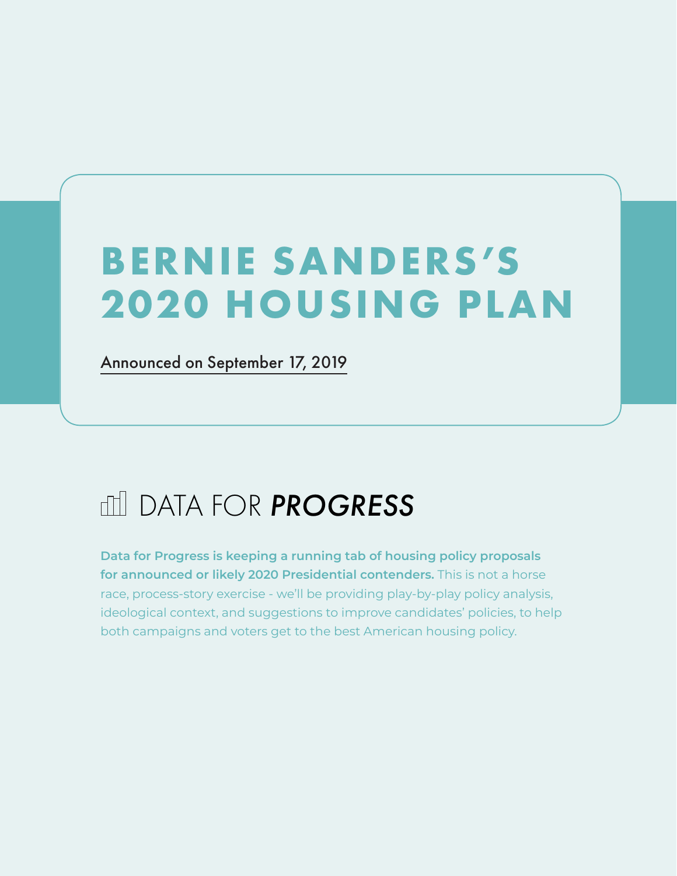# **BERNIE SANDERS 'S 2020 HOUSING PLAN**

[Announced on September 17, 2019](https://berniesanders.com/issues/housing-all/)

## DATA FOR *PROGRESS*

**Data for Progress is keeping a running tab of housing policy proposals for announced or likely 2020 Presidential contenders.** This is not a horse race, process-story exercise - we'll be providing play-by-play policy analysis, ideological context, and suggestions to improve candidates' policies, to help both campaigns and voters get to the best American housing policy.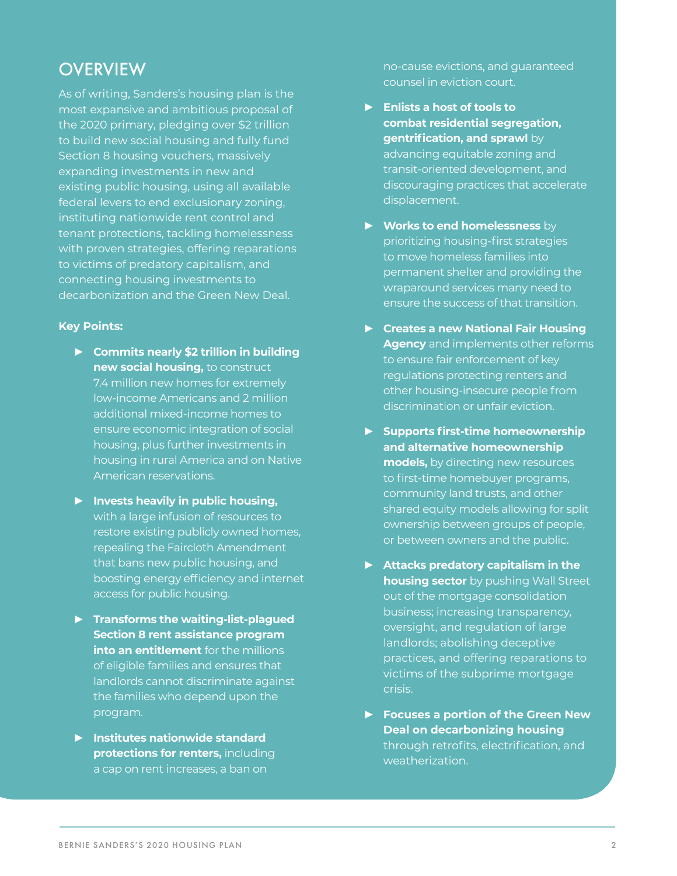#### **OVERVIEW**

As of writing, Sanders's housing plan is the most expansive and ambitious proposal of the 2020 primary, pledging over \$2 trillion to build new social housing and fully fund Section 8 housing vouchers, massively expanding investments in new and existing public housing, using all available federal levers to end exclusionary zoning, instituting nationwide rent control and tenant protections, tackling homelessness with proven strategies, offering reparations to victims of predatory capitalism, and connecting housing investments to decarbonization and the Green New Deal.

#### **Key Points:**

- **► Commits nearly \$2 trillion in building new social housing,** to construct 7.4 million new homes for extremely low-income Americans and 2 million additional mixed-income homes to ensure economic integration of social housing, plus further investments in housing in rural America and on Native American reservations.
- **► Invests heavily in public housing,**  with a large infusion of resources to restore existing publicly owned homes, repealing the Faircloth Amendment that bans new public housing, and boosting energy efficiency and internet access for public housing.
- **► Transforms the waiting-list-plagued Section 8 rent assistance program into an entitlement** for the millions of eligible families and ensures that landlords cannot discriminate against the families who depend upon the program.
- **► Institutes nationwide standard protections for renters, including** a cap on rent increases, a ban on

no-cause evictions, and guaranteed counsel in eviction court.

- **► Enlists a host of tools to combat residential segregation, gentrification, and sprawl** by advancing equitable zoning and transit-oriented development, and discouraging practices that accelerate displacement.
- **► Works to end homelessness** by prioritizing housing-first strategies to move homeless families into permanent shelter and providing the wraparound services many need to ensure the success of that transition.
- **► Creates a new National Fair Housing Agency** and implements other reforms to ensure fair enforcement of key regulations protecting renters and other housing-insecure people from discrimination or unfair eviction.
- **► Supports first-time homeownership and alternative homeownership models,** by directing new resources to first-time homebuyer programs, community land trusts, and other shared equity models allowing for split ownership between groups of people, or between owners and the public.
- **► Attacks predatory capitalism in the housing sector** by pushing Wall Street out of the mortgage consolidation business; increasing transparency, oversight, and regulation of large landlords; abolishing deceptive practices, and offering reparations to victims of the subprime mortgage crisis.
- **► Focuses a portion of the Green New Deal on decarbonizing housing**  through retrofits, electrification, and weatherization.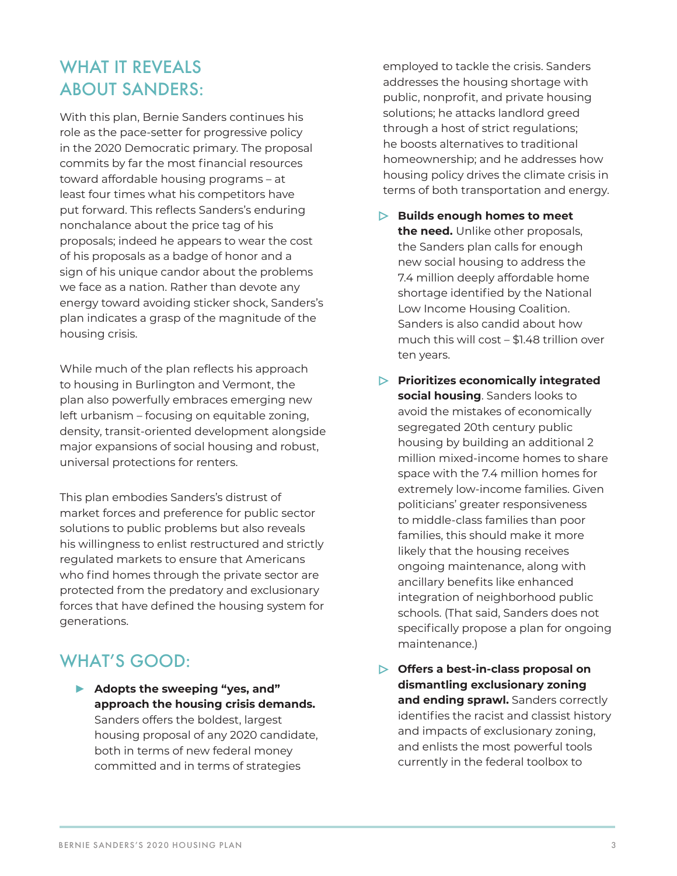## WHAT IT REVEALS ABOUT SANDERS:

With this plan, Bernie Sanders continues his role as the pace-setter for progressive policy in the 2020 Democratic primary. The proposal commits by far the most financial resources toward affordable housing programs – at least four times what his competitors have put forward. This reflects Sanders's enduring nonchalance about the price tag of his proposals; indeed he appears to wear the cost of his proposals as a badge of honor and a sign of his unique candor about the problems we face as a nation. Rather than devote any energy toward avoiding sticker shock, Sanders's plan indicates a grasp of the magnitude of the housing crisis.

While much of the plan reflects his approach to housing in Burlington and Vermont, the plan also powerfully embraces emerging new left urbanism – focusing on equitable zoning, density, transit-oriented development alongside major expansions of social housing and robust, universal protections for renters.

This plan embodies Sanders's distrust of market forces and preference for public sector solutions to public problems but also reveals his willingness to enlist restructured and strictly regulated markets to ensure that Americans who find homes through the private sector are protected from the predatory and exclusionary forces that have defined the housing system for generations.

### WHAT'S GOOD:

**► Adopts the sweeping "yes, and" approach the housing crisis demands.**  Sanders offers the boldest, largest housing proposal of any 2020 candidate, both in terms of new federal money committed and in terms of strategies

employed to tackle the crisis. Sanders addresses the housing shortage with public, nonprofit, and private housing solutions; he attacks landlord greed through a host of strict regulations; he boosts alternatives to traditional homeownership; and he addresses how housing policy drives the climate crisis in terms of both transportation and energy.

- **Builds enough homes to meet the need.** Unlike other proposals, the Sanders plan calls for enough new social housing to address the 7.4 million deeply affordable home shortage identified by the National Low Income Housing Coalition. Sanders is also candid about how much this will cost – \$1.48 trillion over ten years.
- **Prioritizes economically integrated social housing**. Sanders looks to avoid the mistakes of economically segregated 20th century public housing by building an additional 2 million mixed-income homes to share space with the 7.4 million homes for extremely low-income families. Given politicians' greater responsiveness to middle-class families than poor families, this should make it more likely that the housing receives ongoing maintenance, along with ancillary benefits like enhanced integration of neighborhood public schools. (That said, Sanders does not specifically propose a plan for ongoing maintenance.)
- **Offers a best-in-class proposal on dismantling exclusionary zoning**  and ending sprawl. Sanders correctly identifies the racist and classist history and impacts of exclusionary zoning, and enlists the most powerful tools currently in the federal toolbox to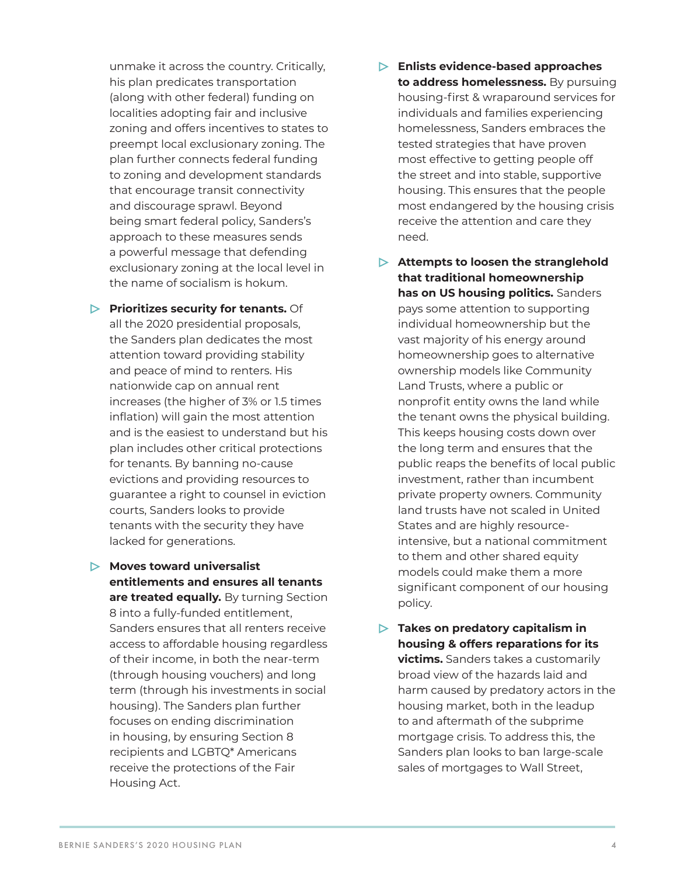unmake it across the country. Critically, his plan predicates transportation (along with other federal) funding on localities adopting fair and inclusive zoning and offers incentives to states to preempt local exclusionary zoning. The plan further connects federal funding to zoning and development standards that encourage transit connectivity and discourage sprawl. Beyond being smart federal policy, Sanders's approach to these measures sends a powerful message that defending exclusionary zoning at the local level in the name of socialism is hokum.

**Prioritizes security for tenants.** Of all the 2020 presidential proposals, the Sanders plan dedicates the most attention toward providing stability and peace of mind to renters. His nationwide cap on annual rent increases (the higher of 3% or 1.5 times inflation) will gain the most attention and is the easiest to understand but his plan includes other critical protections for tenants. By banning no-cause evictions and providing resources to guarantee a right to counsel in eviction courts, Sanders looks to provide tenants with the security they have lacked for generations.

**Moves toward universalist entitlements and ensures all tenants are treated equally.** By turning Section 8 into a fully-funded entitlement, Sanders ensures that all renters receive access to affordable housing regardless of their income, in both the near-term (through housing vouchers) and long term (through his investments in social housing). The Sanders plan further focuses on ending discrimination in housing, by ensuring Section 8 recipients and LGBTQ\* Americans receive the protections of the Fair Housing Act.

- **Enlists evidence-based approaches to address homelessness.** By pursuing housing-first & wraparound services for individuals and families experiencing homelessness, Sanders embraces the tested strategies that have proven most effective to getting people off the street and into stable, supportive housing. This ensures that the people most endangered by the housing crisis receive the attention and care they need.
- **Attempts to loosen the stranglehold that traditional homeownership has on US housing politics.** Sanders pays some attention to supporting individual homeownership but the vast majority of his energy around homeownership goes to alternative ownership models like Community Land Trusts, where a public or nonprofit entity owns the land while the tenant owns the physical building. This keeps housing costs down over the long term and ensures that the public reaps the benefits of local public investment, rather than incumbent private property owners. Community land trusts have not scaled in United States and are highly resourceintensive, but a national commitment to them and other shared equity models could make them a more significant component of our housing policy.
- **Takes on predatory capitalism in housing & offers reparations for its victims.** Sanders takes a customarily broad view of the hazards laid and harm caused by predatory actors in the housing market, both in the leadup to and aftermath of the subprime mortgage crisis. To address this, the Sanders plan looks to ban large-scale sales of mortgages to Wall Street,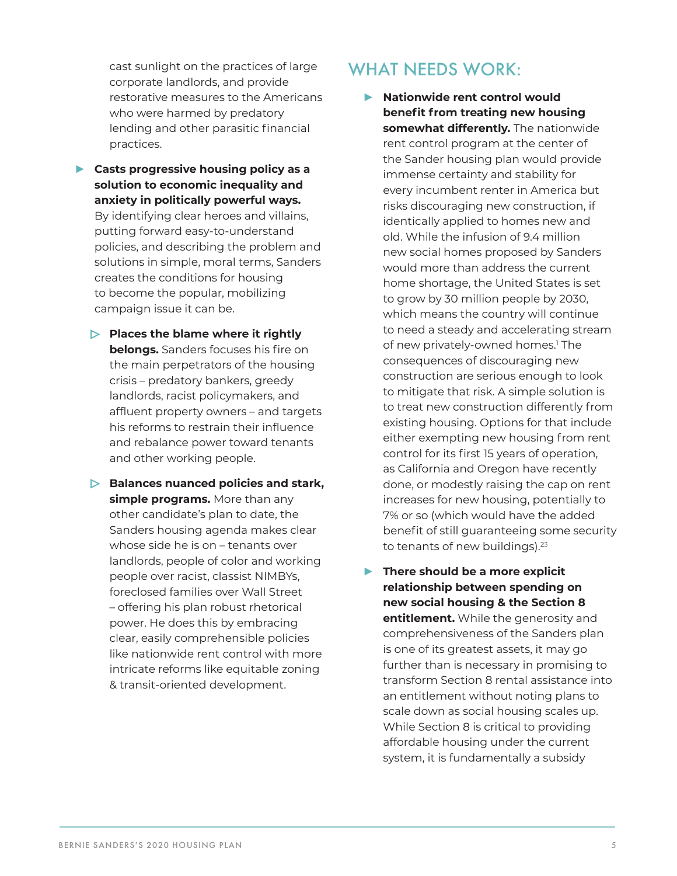<span id="page-4-0"></span>cast sunlight on the practices of large corporate landlords, and provide restorative measures to the Americans who were harmed by predatory lending and other parasitic financial practices.

- **► Casts progressive housing policy as a solution to economic inequality and anxiety in politically powerful ways.** By identifying clear heroes and villains, putting forward easy-to-understand policies, and describing the problem and solutions in simple, moral terms, Sanders creates the conditions for housing to become the popular, mobilizing campaign issue it can be.
	- **Places the blame where it rightly belongs.** Sanders focuses his fire on the main perpetrators of the housing crisis – predatory bankers, greedy landlords, racist policymakers, and affluent property owners – and targets his reforms to restrain their influence and rebalance power toward tenants and other working people.
	- **Balances nuanced policies and stark, simple programs.** More than any other candidate's plan to date, the Sanders housing agenda makes clear whose side he is on – tenants over landlords, people of color and working people over racist, classist NIMBYs, foreclosed families over Wall Street – offering his plan robust rhetorical power. He does this by embracing clear, easily comprehensible policies like nationwide rent control with more intricate reforms like equitable zoning & transit-oriented development.

#### WHAT NFFDS WORK.

- **► Nationwide rent control would benefit from treating new housing somewhat differently.** The nationwide rent control program at the center of the Sander housing plan would provide immense certainty and stability for every incumbent renter in America but risks discouraging new construction, if identically applied to homes new and old. While the infusion of 9.4 million new social homes proposed by Sanders would more than address the current home shortage, the United States is set to grow by 30 million people by 2030, which means the country will continue to need a steady and accelerating stream of new privately-owned homes[.1](#page-5-0) The consequences of discouraging new construction are serious enough to look to mitigate that risk. A simple solution is to treat new construction differently from existing housing. Options for that include either exempting new housing from rent control for its first 15 years of operation, as California and Oregon have recently done, or modestly raising the cap on rent increases for new housing, potentially to 7% or so (which would have the added benefit of still guaranteeing some security to tenants of new buildings).<sup>[2](#page-5-0)[3](#page-5-0)</sup>
- **► There should be a more explicit relationship between spending on new social housing & the Section 8 entitlement.** While the generosity and comprehensiveness of the Sanders plan is one of its greatest assets, it may go further than is necessary in promising to transform Section 8 rental assistance into an entitlement without noting plans to scale down as social housing scales up. While Section 8 is critical to providing affordable housing under the current system, it is fundamentally a subsidy